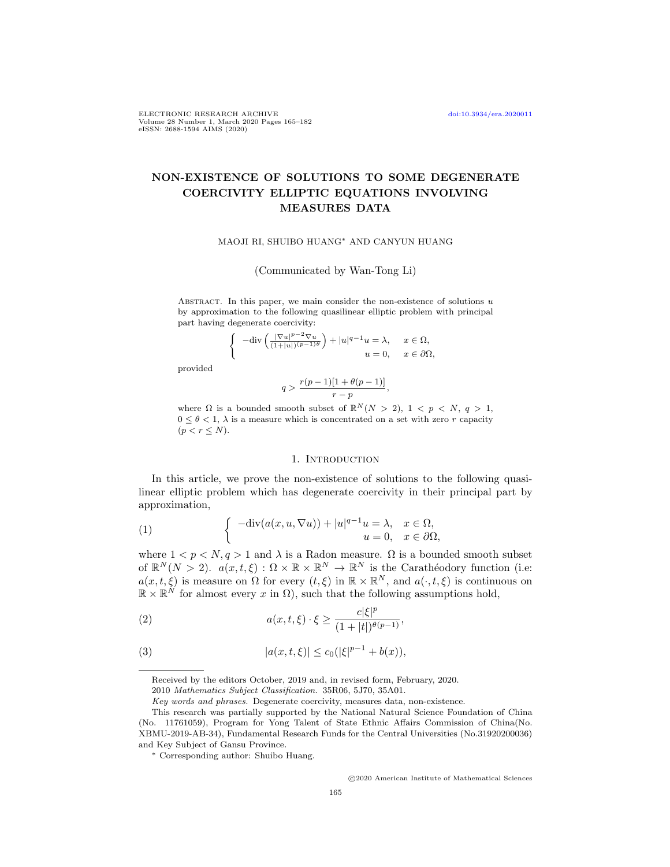ELECTRONIC RESEARCH ARCHIVE [doi:10.3934/era.2020011](http://dx.doi.org/10.3934/era.2020011) Volume 28 Number 1, March 2020 Pages 165–182 eISSN: 2688-1594 AIMS (2020)

# NON-EXISTENCE OF SOLUTIONS TO SOME DEGENERATE COERCIVITY ELLIPTIC EQUATIONS INVOLVING MEASURES DATA

### MAOJI RI, SHUIBO HUANG<sup>∗</sup> AND CANYUN HUANG

(Communicated by Wan-Tong Li)

ABSTRACT. In this paper, we main consider the non-existence of solutions  $u$ by approximation to the following quasilinear elliptic problem with principal part having degenerate coercivity:

$$
\begin{cases}\n-\text{div}\left(\frac{|\nabla u|^{p-2}\nabla u}{(1+|u|)^{(p-1)\theta}}\right) + |u|^{q-1}u = \lambda, & x \in \Omega, \\
u = 0, & x \in \partial\Omega,\n\end{cases}
$$

provided

$$
q>\frac{r(p-1)[1+\theta(p-1)]}{r-p},
$$

where  $\Omega$  is a bounded smooth subset of  $\mathbb{R}^N(N > 2)$ ,  $1 < p < N$ ,  $q > 1$ ,  $0 \leq \theta \leq 1$ ,  $\lambda$  is a measure which is concentrated on a set with zero r capacity  $(p < r \leq N)$ .

### 1. INTRODUCTION

In this article, we prove the non-existence of solutions to the following quasilinear elliptic problem which has degenerate coercivity in their principal part by approximation,

<span id="page-0-1"></span>(1) 
$$
\begin{cases} -\text{div}(a(x, u, \nabla u)) + |u|^{q-1}u = \lambda, & x \in \Omega, \\ u = 0, & x \in \partial\Omega, \end{cases}
$$

where  $1 < p < N$ ,  $q > 1$  and  $\lambda$  is a Radon measure.  $\Omega$  is a bounded smooth subset of  $\mathbb{R}^N(N > 2)$ .  $a(x, t, \xi) : \Omega \times \mathbb{R} \times \mathbb{R}^N \to \mathbb{R}^N$  is the Carathéodory function (i.e:  $a(x, t, \xi)$  is measure on  $\Omega$  for every  $(t, \xi)$  in  $\mathbb{R} \times \mathbb{R}^N$ , and  $a(\cdot, t, \xi)$  is continuous on  $\mathbb{R} \times \mathbb{R}^N$  for almost every x in  $\Omega$ ), such that the following assumptions hold,

<span id="page-0-0"></span>(2) 
$$
a(x, t, \xi) \cdot \xi \ge \frac{c|\xi|^p}{(1+|t|)^{\theta(p-1)}},
$$

<span id="page-0-2"></span>(3) 
$$
|a(x, t, \xi)| \le c_0(|\xi|^{p-1} + b(x)),
$$

Received by the editors October, 2019 and, in revised form, February, 2020.

<sup>2010</sup> Mathematics Subject Classification. 35R06, 5J70, 35A01.

Key words and phrases. Degenerate coercivity, measures data, non-existence.

This research was partially supported by the National Natural Science Foundation of China (No. 11761059), Program for Yong Talent of State Ethnic Affairs Commission of China(No. XBMU-2019-AB-34), Fundamental Research Funds for the Central Universities (No.31920200036) and Key Subject of Gansu Province.

<sup>∗</sup> Corresponding author: Shuibo Huang.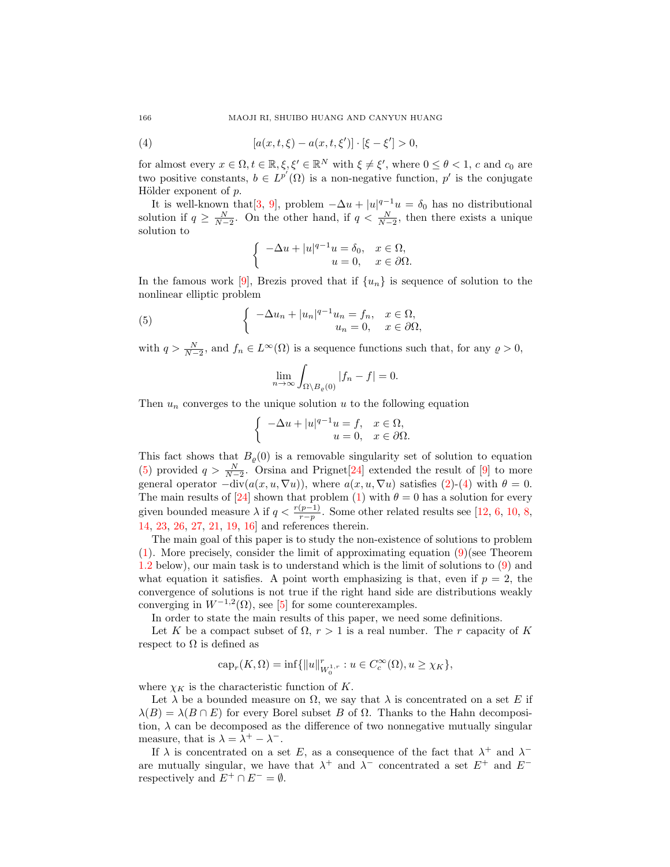<span id="page-1-1"></span>(4) 
$$
[a(x, t, \xi) - a(x, t, \xi')] \cdot [\xi - \xi'] > 0,
$$

for almost every  $x \in \Omega, t \in \mathbb{R}, \xi, \xi' \in \mathbb{R}^N$  with  $\xi \neq \xi'$ , where  $0 \leq \theta < 1$ , c and c<sub>0</sub> are two positive constants,  $b \in L^{p'}(\Omega)$  is a non-negative function, p' is the conjugate Hölder exponent of  $p$ .

It is well-known that [\[3,](#page-16-0) [9\]](#page-16-1), problem  $-\Delta u + |u|^{q-1}u = \delta_0$  has no distributional solution if  $q \geq \frac{N}{N-2}$ . On the other hand, if  $q < \frac{N}{N-2}$ , then there exists a unique solution to

$$
\begin{cases}\n-\Delta u + |u|^{q-1}u = \delta_0, & x \in \Omega, \\
u = 0, & x \in \partial\Omega.\n\end{cases}
$$

In the famous work [\[9\]](#page-16-1), Brezis proved that if  $\{u_n\}$  is sequence of solution to the nonlinear elliptic problem

<span id="page-1-0"></span>(5) 
$$
\begin{cases}\n-\Delta u_n + |u_n|^{q-1}u_n = f_n, & x \in \Omega, \\
u_n = 0, & x \in \partial\Omega,\n\end{cases}
$$

with  $q > \frac{N}{N-2}$ , and  $f_n \in L^{\infty}(\Omega)$  is a sequence functions such that, for any  $\varrho > 0$ ,

$$
\lim_{n \to \infty} \int_{\Omega \setminus B_{\varrho}(0)} |f_n - f| = 0.
$$

Then  $u_n$  converges to the unique solution  $u$  to the following equation

$$
\begin{cases}\n-\Delta u + |u|^{q-1}u = f, & x \in \Omega, \\
u = 0, & x \in \partial\Omega.\n\end{cases}
$$

This fact shows that  $B_{\varrho}(0)$  is a removable singularity set of solution to equation [\(5\)](#page-1-0) provided  $q > \frac{N}{N-2}$ . Orsina and Prignet[\[24\]](#page-17-0) extended the result of [\[9\]](#page-16-1) to more general operator  $-\text{div}(a(x, u, \nabla u))$ , where  $a(x, u, \nabla u)$  satisfies [\(2\)](#page-0-0)-[\(4\)](#page-1-1) with  $\theta = 0$ . The main results of [\[24\]](#page-17-0) shown that problem [\(1\)](#page-0-1) with  $\theta = 0$  has a solution for every given bounded measure  $\lambda$  if  $q < \frac{r(p-1)}{r-p}$ . Some other related results see [\[12,](#page-17-1) [6,](#page-16-2) [10,](#page-16-3) [8,](#page-16-4) [14,](#page-17-2) [23,](#page-17-3) [26,](#page-17-4) [27,](#page-17-5) [21,](#page-17-6) [19,](#page-17-7) [16\]](#page-17-8) and references therein.

The main goal of this paper is to study the non-existence of solutions to problem [\(1\)](#page-0-1). More precisely, consider the limit of approximating equation [\(9\)](#page-2-0)(see Theorem [1.2](#page-2-1) below), our main task is to understand which is the limit of solutions to [\(9\)](#page-2-0) and what equation it satisfies. A point worth emphasizing is that, even if  $p = 2$ , the convergence of solutions is not true if the right hand side are distributions weakly converging in  $W^{-1,2}(\Omega)$ , see [\[5\]](#page-16-5) for some counterexamples.

In order to state the main results of this paper, we need some definitions.

Let K be a compact subset of  $\Omega$ ,  $r > 1$  is a real number. The r capacity of K respect to  $\Omega$  is defined as

$$
cap_r(K, \Omega) = \inf \{ ||u||^r_{W_0^{1,r}} : u \in C_c^{\infty}(\Omega), u \ge \chi_K \},\
$$

where  $\chi_K$  is the characteristic function of K.

Let  $\lambda$  be a bounded measure on  $\Omega$ , we say that  $\lambda$  is concentrated on a set E if  $\lambda(B) = \lambda(B \cap E)$  for every Borel subset B of  $\Omega$ . Thanks to the Hahn decomposition,  $\lambda$  can be decomposed as the difference of two nonnegative mutually singular measure, that is  $\lambda = \lambda^+ - \lambda^-$ .

If  $\lambda$  is concentrated on a set E, as a consequence of the fact that  $\lambda^+$  and  $\lambda^$ are mutually singular, we have that  $\lambda^+$  and  $\lambda^-$  concentrated a set  $E^+$  and  $E^$ respectively and  $E^+ \cap E^- = \emptyset$ .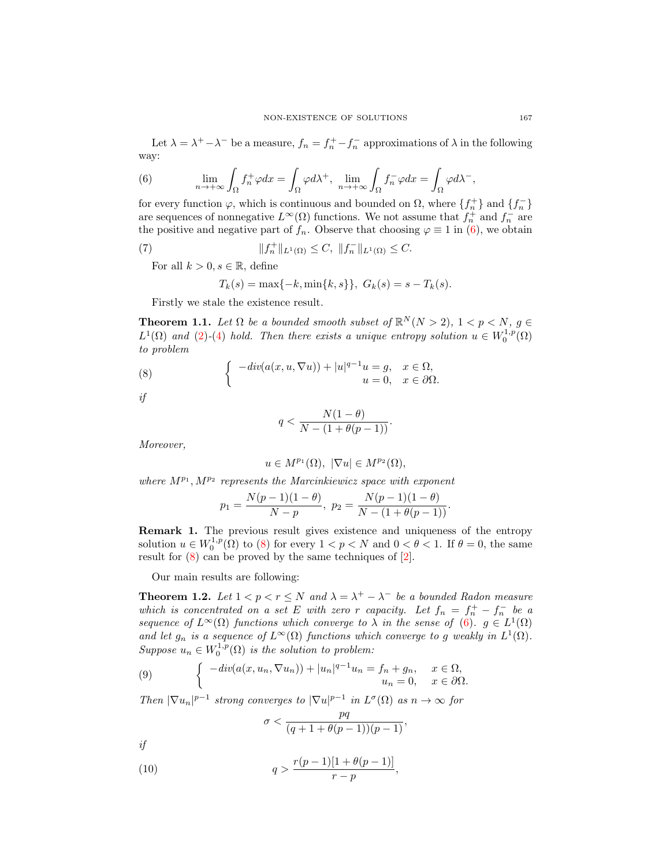Let  $\lambda = \lambda^+ - \lambda^-$  be a measure,  $f_n = f_n^+ - f_n^-$  approximations of  $\lambda$  in the following way:

<span id="page-2-2"></span>(6) 
$$
\lim_{n \to +\infty} \int_{\Omega} f_n^+ \varphi dx = \int_{\Omega} \varphi d\lambda^+, \quad \lim_{n \to +\infty} \int_{\Omega} f_n^- \varphi dx = \int_{\Omega} \varphi d\lambda^-,
$$

for every function  $\varphi$ , which is continuous and bounded on  $\Omega$ , where  $\{f_n^+\}$  and  $\{f_n^-\}$ are sequences of nonnegative  $L^{\infty}(\Omega)$  functions. We not assume that  $f_n^+$  and  $f_n^-$  are the positive and negative part of  $f_n$ . Observe that choosing  $\varphi \equiv 1$  in [\(6\)](#page-2-2), we obtain

<span id="page-2-5"></span>(7) 
$$
||f_n^+||_{L^1(\Omega)} \leq C, ||f_n^-||_{L^1(\Omega)} \leq C.
$$

For all  $k > 0, s \in \mathbb{R}$ , define

$$
T_k(s) = \max\{-k, \min\{k, s\}\}, \ G_k(s) = s - T_k(s).
$$

Firstly we stale the existence result.

<span id="page-2-4"></span>**Theorem 1.1.** Let  $\Omega$  be a bounded smooth subset of  $\mathbb{R}^N(N > 2)$ ,  $1 < p < N$ ,  $g \in \mathbb{R}^N$  $L^1(\Omega)$  and [\(2\)](#page-0-0)-[\(4\)](#page-1-1) hold. Then there exists a unique entropy solution  $u \in W_0^{1,p}(\Omega)$ to problem

<span id="page-2-3"></span>(8) 
$$
\begin{cases}\n- div(a(x, u, \nabla u)) + |u|^{q-1} u = g, & x \in \Omega, \\
u = 0, & x \in \partial \Omega.\n\end{cases}
$$

if

$$
q < \frac{N(1-\theta)}{N - (1 + \theta(p-1))}.
$$

Moreover,

$$
u \in M^{p_1}(\Omega), \ |\nabla u| \in M^{p_2}(\Omega),
$$

where  $M^{p_1}, M^{p_2}$  represents the Marcinkiewicz space with exponent

$$
p_1 = \frac{N(p-1)(1-\theta)}{N-p}, \ p_2 = \frac{N(p-1)(1-\theta)}{N-(1+\theta(p-1))}.
$$

Remark 1. The previous result gives existence and uniqueness of the entropy solution  $u \in W_0^{1,p}(\Omega)$  to [\(8\)](#page-2-3) for every  $1 < p < N$  and  $0 < \theta < 1$ . If  $\theta = 0$ , the same result for [\(8\)](#page-2-3) can be proved by the same techniques of [\[2\]](#page-16-6).

Our main results are following:

<span id="page-2-1"></span>**Theorem 1.2.** Let  $1 < p < r \leq N$  and  $\lambda = \lambda^+ - \lambda^-$  be a bounded Radon measure which is concentrated on a set E with zero r capacity. Let  $f_n = f_n^+ - f_n^-$  be a sequence of  $L^{\infty}(\Omega)$  functions which converge to  $\lambda$  in the sense of [\(6\)](#page-2-2).  $g \in L^{1}(\Omega)$ and let  $g_n$  is a sequence of  $L^{\infty}(\Omega)$  functions which converge to g weakly in  $L^1(\Omega)$ . Suppose  $u_n \in W_0^{1,p}(\Omega)$  is the solution to problem:

<span id="page-2-0"></span>(9) 
$$
\begin{cases}\n-\operatorname{div}(a(x, u_n, \nabla u_n)) + |u_n|^{q-1}u_n = f_n + g_n, & x \in \Omega, \\
u_n = 0, & x \in \partial\Omega.\n\end{cases}
$$

Then  $|\nabla u_n|^{p-1}$  strong converges to  $|\nabla u|^{p-1}$  in  $L^{\sigma}(\Omega)$  as  $n \to \infty$  for

$$
\sigma<\frac{pq}{(q+1+\theta(p-1))(p-1)},
$$

if

<span id="page-2-6"></span>(10) 
$$
q > \frac{r(p-1)[1 + \theta(p-1)]}{r - p},
$$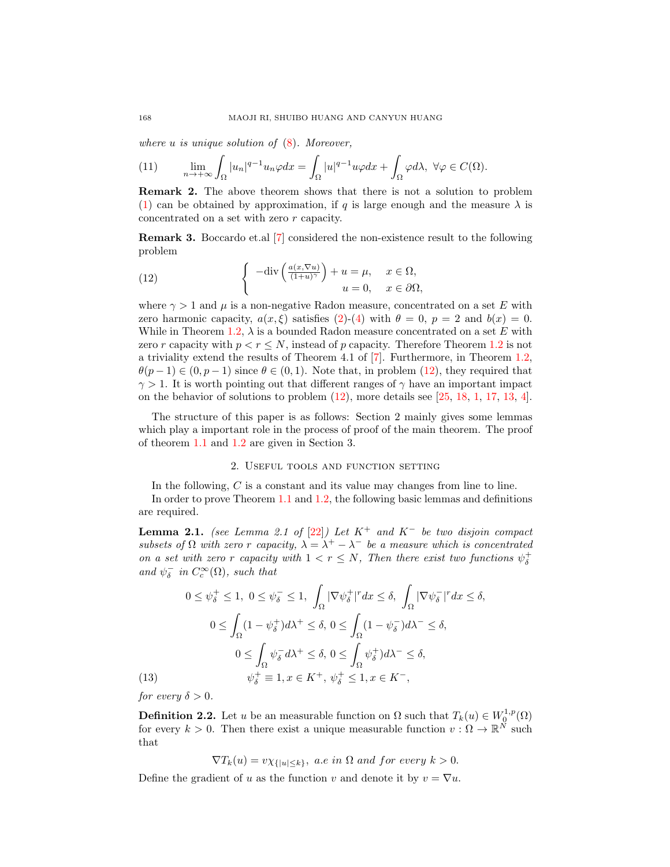where  $u$  is unique solution of  $(8)$ . Moreover,

<span id="page-3-4"></span>(11) 
$$
\lim_{n \to +\infty} \int_{\Omega} |u_n|^{q-1} u_n \varphi dx = \int_{\Omega} |u|^{q-1} u \varphi dx + \int_{\Omega} \varphi d\lambda, \ \forall \varphi \in C(\Omega).
$$

Remark 2. The above theorem shows that there is not a solution to problem [\(1\)](#page-0-1) can be obtained by approximation, if q is large enough and the measure  $\lambda$  is concentrated on a set with zero r capacity.

Remark 3. Boccardo et.al [\[7\]](#page-16-7) considered the non-existence result to the following problem

<span id="page-3-0"></span>(12) 
$$
\begin{cases}\n-\text{div}\left(\frac{a(x,\nabla u)}{(1+u)^{\gamma}}\right) + u = \mu, & x \in \Omega, \\
u = 0, & x \in \partial\Omega,\n\end{cases}
$$

where  $\gamma > 1$  and  $\mu$  is a non-negative Radon measure, concentrated on a set E with zero harmonic capacity,  $a(x,\xi)$  satisfies [\(2\)](#page-0-0)-[\(4\)](#page-1-1) with  $\theta = 0$ ,  $p = 2$  and  $b(x) = 0$ . While in Theorem [1.2,](#page-2-1)  $\lambda$  is a bounded Radon measure concentrated on a set E with zero r capacity with  $p < r \leq N$ , instead of p capacity. Therefore Theorem [1.2](#page-2-1) is not a triviality extend the results of Theorem 4.1 of [\[7\]](#page-16-7). Furthermore, in Theorem [1.2,](#page-2-1)  $\theta(p-1) \in (0, p-1)$  since  $\theta \in (0, 1)$ . Note that, in problem [\(12\)](#page-3-0), they required that  $\gamma > 1$ . It is worth pointing out that different ranges of  $\gamma$  have an important impact on the behavior of solutions to problem [\(12\)](#page-3-0), more details see [\[25,](#page-17-9) [18,](#page-17-10) [1,](#page-16-8) [17,](#page-17-11) [13,](#page-17-12) [4\]](#page-16-9).

The structure of this paper is as follows: Section 2 mainly gives some lemmas which play a important role in the process of proof of the main theorem. The proof of theorem [1.1](#page-2-4) and [1.2](#page-2-1) are given in Section 3.

## 2. Useful tools and function setting

In the following, C is a constant and its value may changes from line to line.

In order to prove Theorem [1.1](#page-2-4) and [1.2,](#page-2-1) the following basic lemmas and definitions are required.

<span id="page-3-1"></span>**Lemma 2.1.** (see Lemma 2.1 of [\[22\]](#page-17-13)) Let  $K^+$  and  $K^-$  be two disjoin compact subsets of  $\Omega$  with zero r capacity,  $\lambda = \lambda^+ - \lambda^-$  be a measure which is concentrated on a set with zero r capacity with  $1 < r \leq N$ , Then there exist two functions  $\psi_{\delta}^{+}$ and  $\psi_{\delta}^{-}$  in  $C_{c}^{\infty}(\Omega)$ , such that

$$
0 \leq \psi_{\delta}^{+} \leq 1, \ 0 \leq \psi_{\delta}^{-} \leq 1, \ \int_{\Omega} |\nabla \psi_{\delta}^{+}|^{r} dx \leq \delta, \ \int_{\Omega} |\nabla \psi_{\delta}^{-}|^{r} dx \leq \delta,
$$

$$
0 \leq \int_{\Omega} (1 - \psi_{\delta}^{+}) d\lambda^{+} \leq \delta, \ 0 \leq \int_{\Omega} (1 - \psi_{\delta}^{-}) d\lambda^{-} \leq \delta,
$$

$$
0 \leq \int_{\Omega} \psi_{\delta}^{-} d\lambda^{+} \leq \delta, \ 0 \leq \int_{\Omega} \psi_{\delta}^{+} d\lambda^{-} \leq \delta,
$$

$$
(13) \qquad \psi_{\delta}^{+} \equiv 1, x \in K^{+}, \ \psi_{\delta}^{+} \leq 1, x \in K^{-},
$$

<span id="page-3-3"></span>for every  $\delta > 0$ .

<span id="page-3-2"></span>**Definition 2.2.** Let u be an measurable function on  $\Omega$  such that  $T_k(u) \in W_0^{1,p}(\Omega)$ for every  $k > 0$ . Then there exist a unique measurable function  $v : \Omega \to \mathbb{R}^N$  such that

$$
\nabla T_k(u) = v\chi_{\{|u| \le k\}}, \ a.e \ in \ \Omega \ and \ for \ every \ k > 0.
$$

Define the gradient of u as the function v and denote it by  $v = \nabla u$ .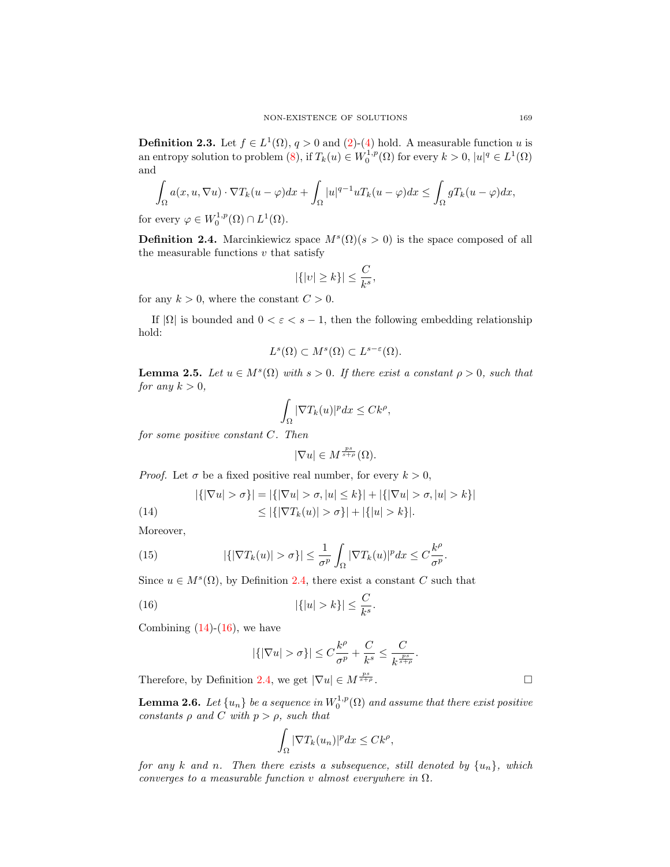**Definition 2.3.** Let  $f \in L^1(\Omega)$ ,  $q > 0$  and  $(2)-(4)$  $(2)-(4)$  $(2)-(4)$  hold. A measurable function u is an entropy solution to problem [\(8\)](#page-2-3), if  $T_k(u) \in W_0^{1,p}(\Omega)$  for every  $k > 0$ ,  $|u|^q \in L^1(\Omega)$ and

$$
\int_{\Omega} a(x, u, \nabla u) \cdot \nabla T_k(u - \varphi) dx + \int_{\Omega} |u|^{q-1} u T_k(u - \varphi) dx \le \int_{\Omega} g T_k(u - \varphi) dx,
$$

for every  $\varphi \in W_0^{1,p}(\Omega) \cap L^1(\Omega)$ .

<span id="page-4-0"></span>**Definition 2.4.** Marcinkiewicz space  $M^{s}(\Omega)(s > 0)$  is the space composed of all the measurable functions  $v$  that satisfy

$$
|\{|v| \ge k\}| \le \frac{C}{k^s},
$$

for any  $k > 0$ , where the constant  $C > 0$ .

If  $|\Omega|$  is bounded and  $0 < \varepsilon < s - 1$ , then the following embedding relationship hold:

$$
L^s(\Omega) \subset M^s(\Omega) \subset L^{s-\varepsilon}(\Omega).
$$

<span id="page-4-3"></span>**Lemma 2.5.** Let  $u \in M^{s}(\Omega)$  with  $s > 0$ . If there exist a constant  $\rho > 0$ , such that for any  $k > 0$ ,

$$
\int_{\Omega} |\nabla T_k(u)|^p dx \leq C k^{\rho},
$$

for some positive constant C. Then

$$
|\nabla u| \in M^{\frac{ps}{s+\rho}}(\Omega).
$$

*Proof.* Let  $\sigma$  be a fixed positive real number, for every  $k > 0$ ,

<span id="page-4-1"></span>(14) 
$$
|\{|\nabla u| > \sigma\}| = |\{|\nabla u| > \sigma, |u| \le k\}| + |\{|\nabla u| > \sigma, |u| > k\}|
$$

$$
\le |\{|\nabla T_k(u)| > \sigma\}| + |\{u| > k\}|.
$$

Moreover,

(15) 
$$
|\{|\nabla T_k(u)| > \sigma\}| \leq \frac{1}{\sigma^p} \int_{\Omega} |\nabla T_k(u)|^p dx \leq C \frac{k^{\rho}}{\sigma^p}.
$$

Since  $u \in M^{s}(\Omega)$ , by Definition [2.4,](#page-4-0) there exist a constant C such that

<span id="page-4-2"></span>(16) 
$$
|\{|u| > k\}| \leq \frac{C}{k^s}.
$$

Combining  $(14)-(16)$  $(14)-(16)$  $(14)-(16)$ , we have

$$
|\{ |\nabla u| > \sigma \}| \le C \frac{k^{\rho}}{\sigma^p} + \frac{C}{k^s} \le \frac{C}{k^{\frac{ps}{s+\rho}}}
$$

.

Therefore, by Definition [2.4,](#page-4-0) we get  $|\nabla u| \in M^{\frac{ps}{s+\rho}}$ .

<span id="page-4-4"></span>**Lemma 2.6.** Let  $\{u_n\}$  be a sequence in  $W_0^{1,p}(\Omega)$  and assume that there exist positive constants  $\rho$  and C with  $p > \rho$ , such that

$$
\int_{\Omega} |\nabla T_k(u_n)|^p dx \leq C k^{\rho},
$$

for any k and n. Then there exists a subsequence, still denoted by  $\{u_n\}$ , which converges to a measurable function v almost everywhere in  $\Omega$ .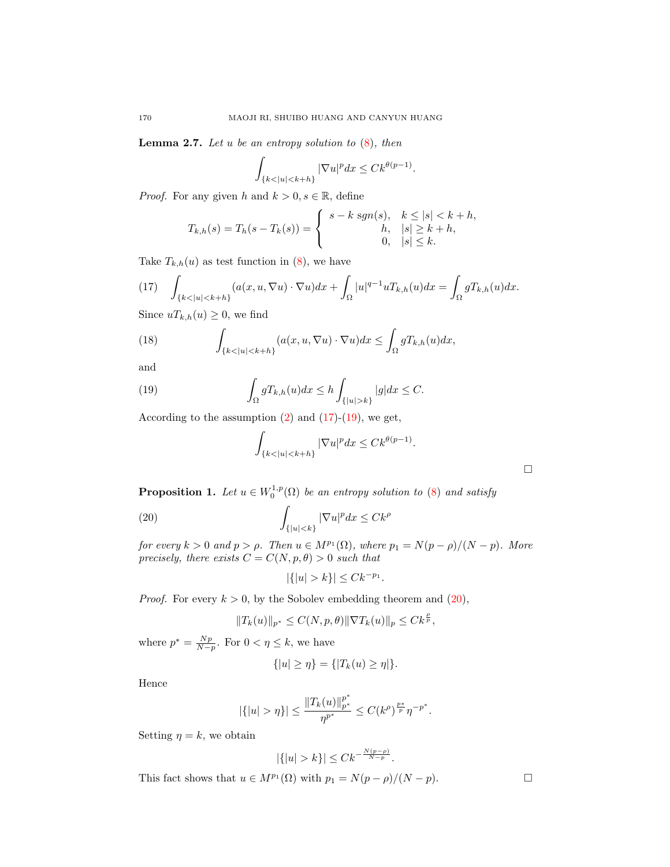<span id="page-5-4"></span>**Lemma 2.7.** Let u be an entropy solution to  $(8)$ , then

$$
\int_{\{k < |u| < k+h\}} |\nabla u|^p dx \leq C k^{\theta(p-1)}.
$$

*Proof.* For any given h and  $k > 0, s \in \mathbb{R}$ , define

$$
T_{k,h}(s) = T_h(s - T_k(s)) = \begin{cases} s - k \operatorname{sgn}(s), & k \le |s| < k + h, \\ h, & |s| \ge k + h, \\ 0, & |s| \le k. \end{cases}
$$

Take  $T_{k,h}(u)$  as test function in [\(8\)](#page-2-3), we have

<span id="page-5-0"></span>(17) 
$$
\int_{\{k < |u| < k+h\}} (a(x, u, \nabla u) \cdot \nabla u) dx + \int_{\Omega} |u|^{q-1} u T_{k,h}(u) dx = \int_{\Omega} g T_{k,h}(u) dx.
$$

Since  $u T_{k,h}(u) \geq 0$ , we find

(18) 
$$
\int_{\{k < |u| < k+h\}} (a(x, u, \nabla u) \cdot \nabla u) dx \le \int_{\Omega} g T_{k,h}(u) dx,
$$

and

<span id="page-5-1"></span>(19) 
$$
\int_{\Omega} g T_{k,h}(u) dx \le h \int_{\{|u|>k\}} |g| dx \le C.
$$

According to the assumption  $(2)$  and  $(17)-(19)$  $(17)-(19)$  $(17)-(19)$ , we get,

$$
\int_{\{k < |u| < k+h\}} |\nabla u|^p dx \le C k^{\theta(p-1)}.
$$

<span id="page-5-3"></span>**Proposition 1.** Let  $u \in W_0^{1,p}(\Omega)$  be an entropy solution to [\(8\)](#page-2-3) and satisfy

<span id="page-5-2"></span>(20) 
$$
\int_{\{|u|
$$

for every  $k > 0$  and  $p > \rho$ . Then  $u \in M^{p_1}(\Omega)$ , where  $p_1 = N(p - \rho)/(N - p)$ . More precisely, there exists  $C = C(N, p, \theta) > 0$  such that

$$
|\{|u| > k\}| \leq C k^{-p_1}.
$$

*Proof.* For every  $k > 0$ , by the Sobolev embedding theorem and  $(20)$ ,

$$
||T_k(u)||_{p^*} \le C(N, p, \theta) ||\nabla T_k(u)||_p \le C k^{\frac{\beta}{p}},
$$

where  $p^* = \frac{Np}{N-p}$ . For  $0 < \eta \leq k$ , we have

$$
\{|u|\geq \eta\}=\{|T_k(u)\geq \eta|\}.
$$

Hence

$$
|\{|u|>\eta\}|\leq \frac{\|T_k(u)\|_{p^*}^{p^*}}{\eta^{p^*}}\leq C(k^{\rho})^{\frac{p*}{p}}\eta^{-p^*}.
$$

Setting  $\eta = k$ , we obtain

$$
|\{|u| > k\}| \le Ck^{-\frac{N(p-\rho)}{N-p}}.
$$

This fact shows that  $u \in M^{p_1}(\Omega)$  with  $p_1 = N(p - \rho)/(N - p)$ .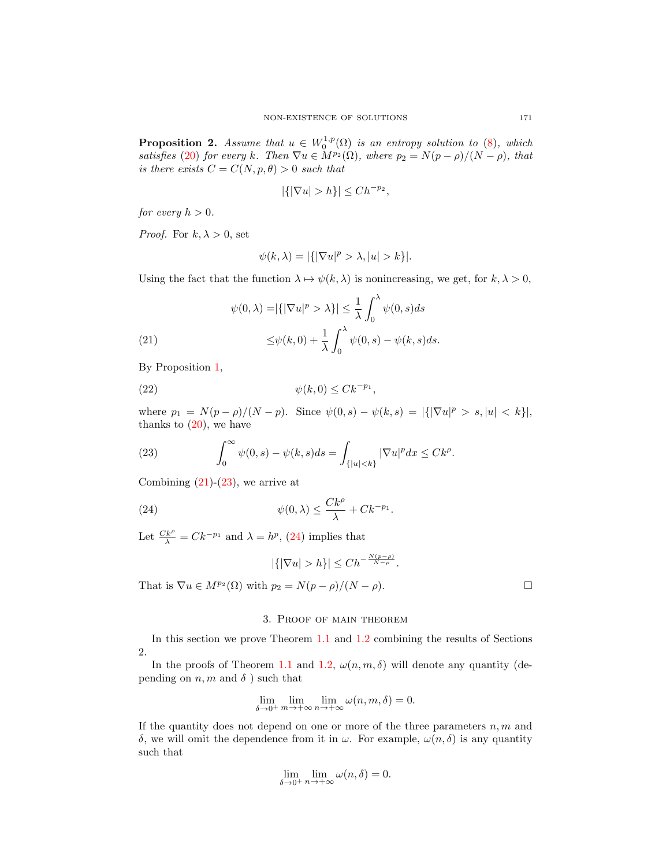<span id="page-6-3"></span>**Proposition 2.** Assume that  $u \in W_0^{1,p}(\Omega)$  is an entropy solution to  $(8)$ , which satisfies [\(20\)](#page-5-2) for every k. Then  $\nabla u \in M^{p_2}(\Omega)$ , where  $p_2 = N(p - \rho)/(N - \rho)$ , that is there exists  $C = C(N, p, \theta) > 0$  such that

$$
|\{|\nabla u| > h\}| \le Ch^{-p_2},
$$

for every  $h > 0$ .

*Proof.* For  $k, \lambda > 0$ , set

$$
\psi(k,\lambda) = |\{ |\nabla u|^p > \lambda, |u| > k \}|.
$$

Using the fact that the function  $\lambda \mapsto \psi(k, \lambda)$  is nonincreasing, we get, for  $k, \lambda > 0$ ,

<span id="page-6-0"></span>(21)  

$$
\psi(0,\lambda) = |\{|\nabla u|^p > \lambda\}| \le \frac{1}{\lambda} \int_0^{\lambda} \psi(0,s)ds
$$

$$
\le \psi(k,0) + \frac{1}{\lambda} \int_0^{\lambda} \psi(0,s) - \psi(k,s)ds.
$$

By Proposition [1,](#page-5-3)

$$
(22) \qquad \qquad \psi(k,0) \leq C k^{-p_1},
$$

where  $p_1 = N(p - \rho)/(N - p)$ . Since  $\psi(0, s) - \psi(k, s) = |\{|\nabla u|^p > s, |u| < k\}|$ , thanks to  $(20)$ , we have

<span id="page-6-1"></span>(23) 
$$
\int_0^\infty \psi(0,s) - \psi(k,s)ds = \int_{\{|u|< k\}} |\nabla u|^p dx \leq Ck^{\rho}.
$$

Combining  $(21)-(23)$  $(21)-(23)$  $(21)-(23)$ , we arrive at

<span id="page-6-2"></span>(24) 
$$
\psi(0,\lambda) \leq \frac{Ck^{\rho}}{\lambda} + Ck^{-p_1}.
$$

Let  $\frac{C k^{\rho}}{\lambda} = C k^{-p_1}$  and  $\lambda = h^p$ , [\(24\)](#page-6-2) implies that

$$
|\{|\nabla u| > h\}| \le Ch^{-\frac{N(p-\rho)}{N-\rho}}.
$$

That is  $\nabla u \in M^{p_2}(\Omega)$  with  $p_2 = N(p - \rho)/(N - \rho)$ .

# 3. Proof of main theorem

In this section we prove Theorem [1.1](#page-2-4) and [1.2](#page-2-1) combining the results of Sections 2.

In the proofs of Theorem [1.1](#page-2-4) and [1.2,](#page-2-1)  $\omega(n, m, \delta)$  will denote any quantity (depending on  $n, m$  and  $\delta$ ) such that

$$
\lim_{\delta \to 0^+} \lim_{m \to +\infty} \lim_{n \to +\infty} \omega(n, m, \delta) = 0.
$$

If the quantity does not depend on one or more of the three parameters  $n, m$  and δ, we will omit the dependence from it in  $ω$ . For example,  $ω(n, δ)$  is any quantity such that

$$
\lim_{\delta \to 0^+} \lim_{n \to +\infty} \omega(n, \delta) = 0.
$$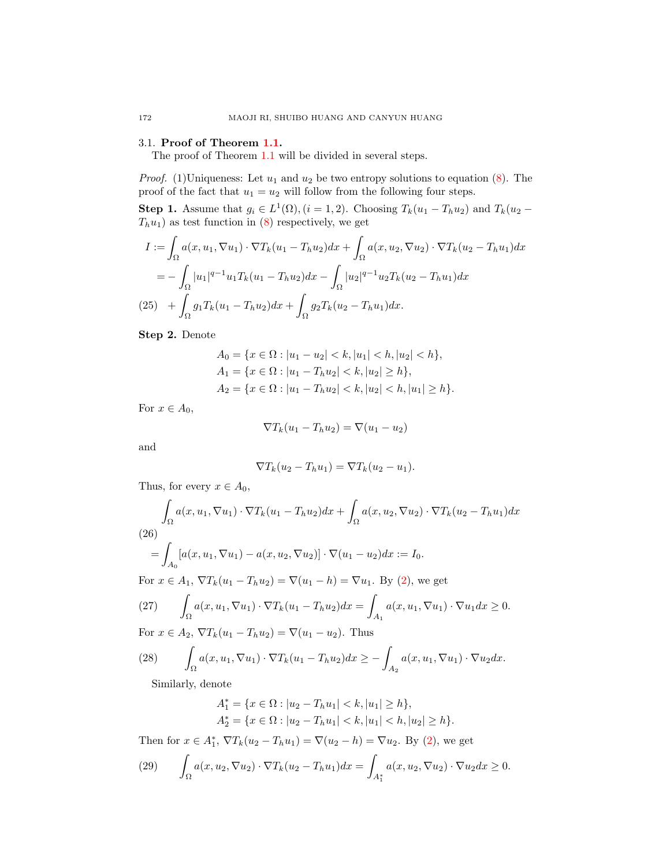# 3.1. Proof of Theorem [1.1.](#page-2-4)

The proof of Theorem [1.1](#page-2-4) will be divided in several steps.

*Proof.* (1)Uniqueness: Let  $u_1$  and  $u_2$  be two entropy solutions to equation [\(8\)](#page-2-3). The proof of the fact that  $u_1 = u_2$  will follow from the following four steps.

**Step 1.** Assume that  $g_i \in L^1(\Omega)$ ,  $(i = 1, 2)$ . Choosing  $T_k(u_1 - T_h u_2)$  and  $T_k(u_2 - T_h u_1)$  $T_hu_1)$  as test function in [\(8\)](#page-2-3) respectively, we get

$$
I := \int_{\Omega} a(x, u_1, \nabla u_1) \cdot \nabla T_k (u_1 - T_h u_2) dx + \int_{\Omega} a(x, u_2, \nabla u_2) \cdot \nabla T_k (u_2 - T_h u_1) dx
$$
  
= 
$$
- \int_{\Omega} |u_1|^{q-1} u_1 T_k (u_1 - T_h u_2) dx - \int_{\Omega} |u_2|^{q-1} u_2 T_k (u_2 - T_h u_1) dx
$$
  
(25) 
$$
+ \int_{\Omega} g_1 T_k (u_1 - T_h u_2) dx + \int_{\Omega} g_2 T_k (u_2 - T_h u_1) dx.
$$

<span id="page-7-1"></span>Step 2. Denote

$$
A_0 = \{x \in \Omega : |u_1 - u_2| < k, |u_1| < h, |u_2| < h\},
$$
\n
$$
A_1 = \{x \in \Omega : |u_1 - T_h u_2| < k, |u_2| \ge h\},
$$
\n
$$
A_2 = \{x \in \Omega : |u_1 - T_h u_2| < k, |u_2| < h, |u_1| \ge h\}.
$$

For  $x \in A_0$ ,

$$
\nabla T_k(u_1 - T_h u_2) = \nabla (u_1 - u_2)
$$

and

$$
\nabla T_k(u_2 - T_h u_1) = \nabla T_k(u_2 - u_1).
$$

Thus, for every  $x \in A_0$ ,

<span id="page-7-0"></span>
$$
\int_{\Omega} a(x, u_1, \nabla u_1) \cdot \nabla T_k (u_1 - T_h u_2) dx + \int_{\Omega} a(x, u_2, \nabla u_2) \cdot \nabla T_k (u_2 - T_h u_1) dx
$$
\n(26)\n
$$
= \int_{A_0} [a(x, u_1, \nabla u_1) - a(x, u_2, \nabla u_2)] \cdot \nabla (u_1 - u_2) dx := I_0.
$$
\nFor  $x \in A_1$ ,  $\nabla T_k (u_1 - T_h u_2) = \nabla (u_1 - h) = \nabla u_1$ . By (2), we get\n(27)\n
$$
\int_{\Omega} a(x, u_1, \nabla u_1) \cdot \nabla T_k (u_1 - T_h u_2) dx = \int_{A_1} a(x, u_1, \nabla u_1) \cdot \nabla u_1 dx \ge 0.
$$
\nFor  $x \in A_2$ ,  $\nabla T_k (u_1 - T_h u_2) = \nabla (u_1 - u_2)$ . Thus\n(28)\n
$$
\int_{\Omega} a(x, u_1, \nabla u_1) \cdot \nabla T_k (u_1 - T_h u_2) dx \ge - \int_{A_2} a(x, u_1, \nabla u_1) \cdot \nabla u_2 dx.
$$
\nSimilarly, denote

Similarly, denote

$$
A_1^* = \{ x \in \Omega : |u_2 - T_h u_1| < k, |u_1| \ge h \},
$$
\n
$$
A_2^* = \{ x \in \Omega : |u_2 - T_h u_1| < k, |u_1| < h, |u_2| \ge h \}.
$$

Then for  $x \in A_1^*$ ,  $\nabla T_k(u_2 - T_h u_1) = \nabla(u_2 - h) = \nabla u_2$ . By [\(2\)](#page-0-0), we get

(29) 
$$
\int_{\Omega} a(x, u_2, \nabla u_2) \cdot \nabla T_k(u_2 - T_h u_1) dx = \int_{A_1^*} a(x, u_2, \nabla u_2) \cdot \nabla u_2 dx \ge 0.
$$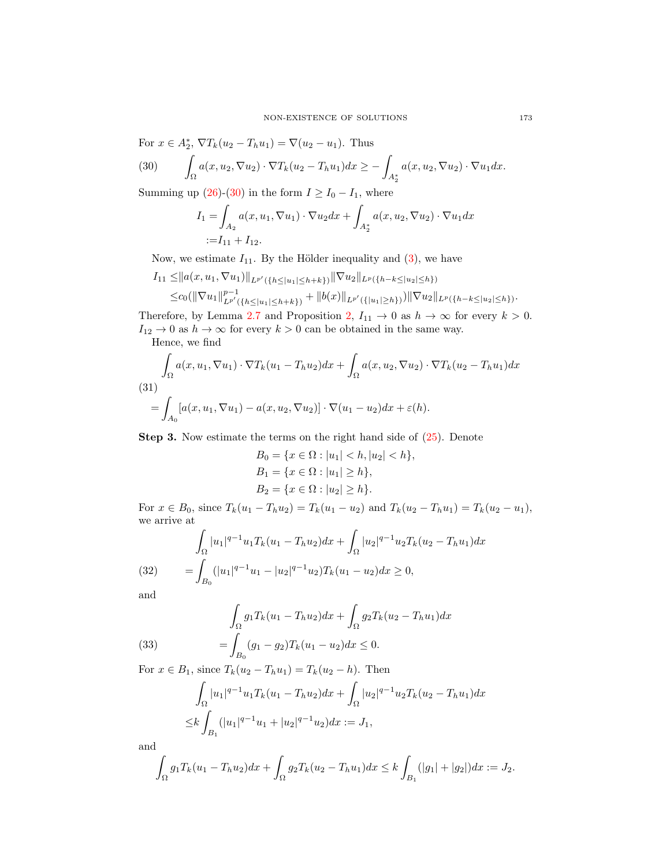<span id="page-8-0"></span>For 
$$
x \in A_2^*
$$
,  $\nabla T_k(u_2 - T_h u_1) = \nabla (u_2 - u_1)$ . Thus  
\n(30) 
$$
\int_{\Omega} a(x, u_2, \nabla u_2) \cdot \nabla T_k(u_2 - T_h u_1) dx \ge - \int_{A_2^*} a(x, u_2, \nabla u_2) \cdot \nabla u_1 dx.
$$

Summing up [\(26\)](#page-7-0)-[\(30\)](#page-8-0) in the form  $I \ge I_0 - I_1$ , where

$$
I_1 = \int_{A_2} a(x, u_1, \nabla u_1) \cdot \nabla u_2 dx + \int_{A_2^*} a(x, u_2, \nabla u_2) \cdot \nabla u_1 dx
$$
  
:=  $I_{11} + I_{12}$ .

Now, we estimate  $I_{11}$ . By the Hölder inequality and [\(3\)](#page-0-2), we have

$$
I_{11} \leq ||a(x, u_1, \nabla u_1)||_{L^{p'}(\{h \leq |u_1| \leq h+k\})} ||\nabla u_2||_{L^p(\{h-k \leq |u_2| \leq h\})}
$$
  

$$
\leq c_0(||\nabla u_1||_{L^{p'}(\{h \leq |u_1| \leq h+k\})}^{p-1} + ||b(x)||_{L^{p'}(\{|u_1| \geq h\})}) ||\nabla u_2||_{L^p(\{h-k \leq |u_2| \leq h\})}.
$$

Therefore, by Lemma [2.7](#page-5-4) and Proposition [2,](#page-6-3)  $I_{11} \rightarrow 0$  as  $h \rightarrow \infty$  for every  $k > 0$ .  $I_{12}\rightarrow 0$  as  $h\rightarrow \infty$  for every  $k>0$  can be obtained in the same way.

Hence, we find

<span id="page-8-1"></span>
$$
\int_{\Omega} a(x, u_1, \nabla u_1) \cdot \nabla T_k(u_1 - T_h u_2) dx + \int_{\Omega} a(x, u_2, \nabla u_2) \cdot \nabla T_k(u_2 - T_h u_1) dx
$$
\n(31)\n
$$
= \int_{A_0} [a(x, u_1, \nabla u_1) - a(x, u_2, \nabla u_2)] \cdot \nabla (u_1 - u_2) dx + \varepsilon(h).
$$

Step 3. Now estimate the terms on the right hand side of [\(25\)](#page-7-1). Denote

$$
B_0 = \{x \in \Omega : |u_1| < h, |u_2| < h\},
$$
\n
$$
B_1 = \{x \in \Omega : |u_1| \ge h\},
$$
\n
$$
B_2 = \{x \in \Omega : |u_2| \ge h\}.
$$

For  $x \in B_0$ , since  $T_k(u_1 - T_h u_2) = T_k(u_1 - u_2)$  and  $T_k(u_2 - T_h u_1) = T_k(u_2 - u_1)$ , we arrive at

(32) 
$$
\int_{\Omega} |u_1|^{q-1} u_1 T_k (u_1 - T_h u_2) dx + \int_{\Omega} |u_2|^{q-1} u_2 T_k (u_2 - T_h u_1) dx
$$

$$
= \int_{B_0} (|u_1|^{q-1} u_1 - |u_2|^{q-1} u_2) T_k (u_1 - u_2) dx \ge 0,
$$

and

(33) 
$$
\int_{\Omega} g_1 T_k (u_1 - T_h u_2) dx + \int_{\Omega} g_2 T_k (u_2 - T_h u_1) dx
$$

$$
= \int_{B_0} (g_1 - g_2) T_k (u_1 - u_2) dx \le 0.
$$

For  $x \in B_1$ , since  $T_k(u_2 - T_h u_1) = T_k(u_2 - h)$ . Then

$$
\int_{\Omega} |u_1|^{q-1} u_1 T_k (u_1 - T_h u_2) dx + \int_{\Omega} |u_2|^{q-1} u_2 T_k (u_2 - T_h u_1) dx
$$
  
\n
$$
\leq k \int_{B_1} (|u_1|^{q-1} u_1 + |u_2|^{q-1} u_2) dx := J_1,
$$

and

$$
\int_{\Omega} g_1 T_k (u_1 - T_h u_2) dx + \int_{\Omega} g_2 T_k (u_2 - T_h u_1) dx \leq k \int_{B_1} (|g_1| + |g_2|) dx := J_2.
$$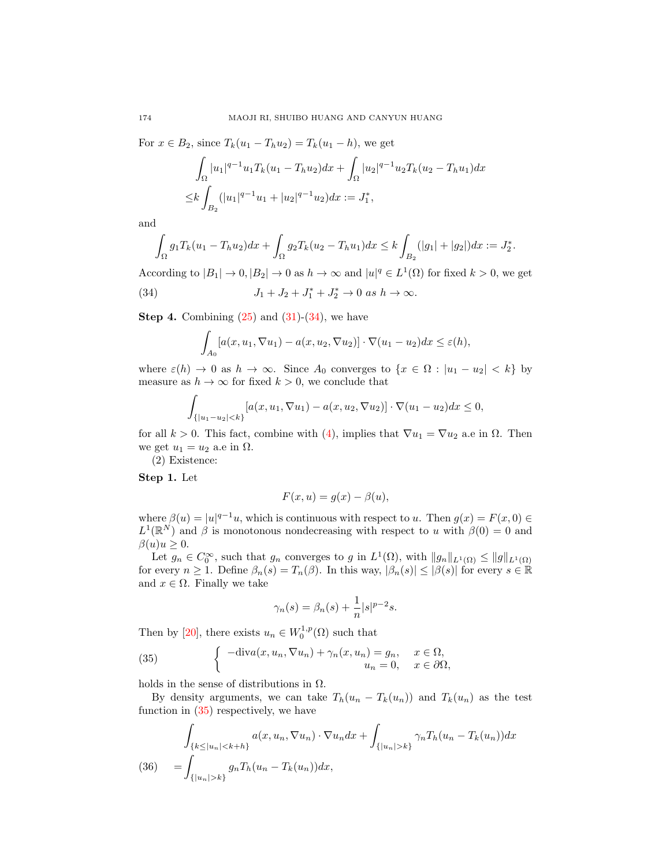For  $x \in B_2$ , since  $T_k(u_1 - T_h u_2) = T_k(u_1 - h)$ , we get

$$
\int_{\Omega} |u_1|^{q-1} u_1 T_k (u_1 - T_h u_2) dx + \int_{\Omega} |u_2|^{q-1} u_2 T_k (u_2 - T_h u_1) dx
$$
  
\n
$$
\leq k \int_{B_2} (|u_1|^{q-1} u_1 + |u_2|^{q-1} u_2) dx := J_1^*,
$$

and

$$
\int_{\Omega} g_1 T_k (u_1 - T_h u_2) dx + \int_{\Omega} g_2 T_k (u_2 - T_h u_1) dx \leq k \int_{B_2} (|g_1| + |g_2|) dx := J_2^*.
$$

According to  $|B_1| \to 0$ ,  $|B_2| \to 0$  as  $h \to \infty$  and  $|u|^q \in L^1(\Omega)$  for fixed  $k > 0$ , we get

<span id="page-9-0"></span>(34) 
$$
J_1 + J_2 + J_1^* + J_2^* \to 0 \text{ as } h \to \infty.
$$

**Step 4.** Combining  $(25)$  and  $(31)-(34)$  $(31)-(34)$  $(31)-(34)$ , we have

$$
\int_{A_0} [a(x, u_1, \nabla u_1) - a(x, u_2, \nabla u_2)] \cdot \nabla (u_1 - u_2) dx \le \varepsilon(h),
$$

where  $\varepsilon(h) \to 0$  as  $h \to \infty$ . Since  $A_0$  converges to  $\{x \in \Omega : |u_1 - u_2| < k\}$  by measure as  $h \to \infty$  for fixed  $k > 0$ , we conclude that

$$
\int_{\{|u_1-u_2|
$$

for all  $k > 0$ . This fact, combine with [\(4\)](#page-1-1), implies that  $\nabla u_1 = \nabla u_2$  a.e in  $\Omega$ . Then we get  $u_1 = u_2$  a.e in  $\Omega$ .

(2) Existence:

Step 1. Let

$$
F(x, u) = g(x) - \beta(u),
$$

where  $\beta(u) = |u|^{q-1}u$ , which is continuous with respect to u. Then  $g(x) = F(x, 0) \in$  $L^1(\mathbb{R}^N)$  and  $\beta$  is monotonous nondecreasing with respect to u with  $\beta(0) = 0$  and  $\beta(u)u \geq 0.$ 

Let  $g_n \in C_0^{\infty}$ , such that  $g_n$  converges to g in  $L^1(\Omega)$ , with  $||g_n||_{L^1(\Omega)} \leq ||g||_{L^1(\Omega)}$ for every  $n \geq 1$ . Define  $\beta_n(s) = T_n(\beta)$ . In this way,  $|\beta_n(s)| \leq |\beta(s)|$  for every  $s \in \mathbb{R}$ and  $x \in \Omega$ . Finally we take

$$
\gamma_n(s) = \beta_n(s) + \frac{1}{n}|s|^{p-2}s.
$$

Then by [\[20\]](#page-17-14), there exists  $u_n \in W_0^{1,p}(\Omega)$  such that

<span id="page-9-1"></span>(35) 
$$
\begin{cases}\n-\text{div}a(x, u_n, \nabla u_n) + \gamma_n(x, u_n) = g_n, & x \in \Omega, \\
u_n = 0, & x \in \partial\Omega,\n\end{cases}
$$

holds in the sense of distributions in  $\Omega$ .

By density arguments, we can take  $T_h(u_n - T_k(u_n))$  and  $T_k(u_n)$  as the test function in [\(35\)](#page-9-1) respectively, we have

<span id="page-9-2"></span>
$$
\int_{\{k \le |u_n| < k+h\}} a(x, u_n, \nabla u_n) \cdot \nabla u_n dx + \int_{\{|u_n| > k\}} \gamma_n T_h(u_n - T_k(u_n)) dx
$$
\n
$$
(36) \quad = \int_{\{|u_n| > k\}} g_n T_h(u_n - T_k(u_n)) dx,
$$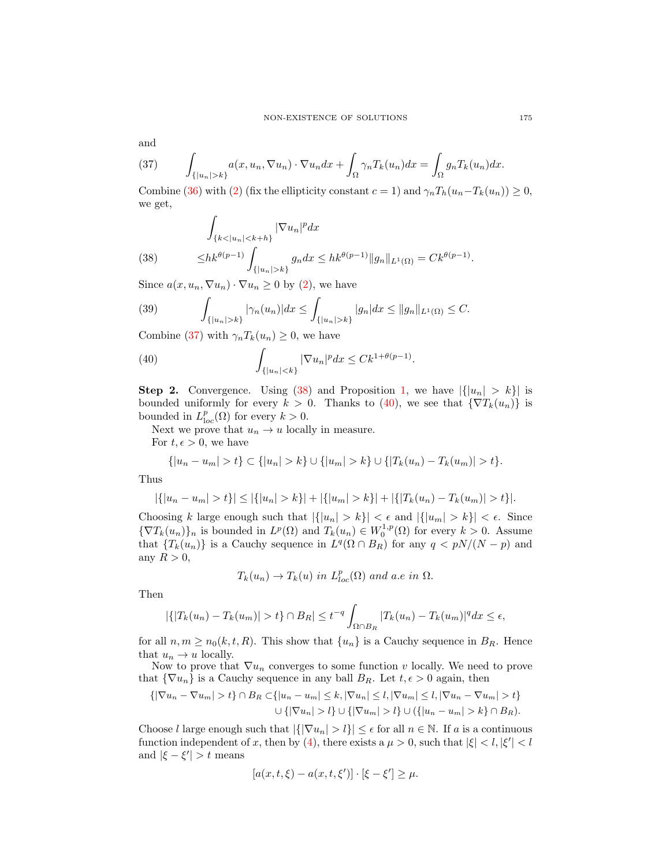and

<span id="page-10-0"></span>(37) 
$$
\int_{\{|u_n|>k\}} a(x, u_n, \nabla u_n) \cdot \nabla u_n dx + \int_{\Omega} \gamma_n T_k(u_n) dx = \int_{\Omega} g_n T_k(u_n) dx.
$$

Combine [\(36\)](#page-9-2) with [\(2\)](#page-0-0) (fix the ellipticity constant  $c = 1$ ) and  $\gamma_n T_h(u_n - T_k(u_n)) \geq 0$ , we get,

<span id="page-10-1"></span>(38) 
$$
\int_{\{k < |u_n| < k+h\}} |\nabla u_n|^p dx
$$

$$
\leq h k^{\theta(p-1)} \int_{\{|u_n| > k\}} g_n dx \leq h k^{\theta(p-1)} \|g_n\|_{L^1(\Omega)} = C k^{\theta(p-1)}.
$$

Since  $a(x, u_n, \nabla u_n) \cdot \nabla u_n \geq 0$  by [\(2\)](#page-0-0), we have

(39) 
$$
\int_{\{|u_n|>k\}} |\gamma_n(u_n)| dx \leq \int_{\{|u_n|>k\}} |g_n| dx \leq ||g_n||_{L^1(\Omega)} \leq C.
$$

Combine [\(37\)](#page-10-0) with  $\gamma_n T_k(u_n) \geq 0$ , we have

<span id="page-10-2"></span>(40) 
$$
\int_{\{|u_n|
$$

**Step 2.** Convergence. Using [\(38\)](#page-10-1) and Proposition [1,](#page-5-3) we have  $|\{|u_n| > k\}|$  is bounded uniformly for every  $k > 0$ . Thanks to [\(40\)](#page-10-2), we see that  $\{\nabla T_k(u_n)\}\$ is bounded in  $L_{loc}^p(\Omega)$  for every  $k > 0$ .

Next we prove that  $u_n \to u$  locally in measure.

For  $t, \epsilon > 0$ , we have

$$
\{|u_n - u_m| > t\} \subset \{|u_n| > k\} \cup \{|u_m| > k\} \cup \{|T_k(u_n) - T_k(u_m)| > t\}.
$$

Thus

$$
|\{|u_n - u_m| > t\}| \leq |\{|u_n| > k\}| + |\{|u_m| > k\}| + |\{|T_k(u_n) - T_k(u_m)| > t\}|.
$$

Choosing k large enough such that  $|\{|u_n| > k\}| < \epsilon$  and  $|\{|u_m| > k\}| < \epsilon$ . Since  ${\nabla T_k(u_n)}_n$  is bounded in  $L^p(\Omega)$  and  $T_k(u_n) \in W_0^{1,p}(\Omega)$  for every  $k > 0$ . Assume that  ${T_k(u_n)}$  is a Cauchy sequence in  $L^q(\Omega \cap B_R)$  for any  $q < pN/(N-p)$  and any  $R > 0$ ,

$$
T_k(u_n) \to T_k(u)
$$
 in  $L_{loc}^p(\Omega)$  and a.e in  $\Omega$ .

Then

$$
|\{|T_k(u_n)-T_k(u_m)|>t\}\cap B_R|\leq t^{-q}\int_{\Omega\cap B_R}|T_k(u_n)-T_k(u_m)|^qdx\leq \epsilon,
$$

for all  $n, m \geq n_0(k, t, R)$ . This show that  $\{u_n\}$  is a Cauchy sequence in  $B_R$ . Hence that  $u_n \to u$  locally.

Now to prove that  $\nabla u_n$  converges to some function v locally. We need to prove that  $\{\nabla u_n\}$  is a Cauchy sequence in any ball  $B_R$ . Let  $t, \epsilon > 0$  again, then

$$
\{|\nabla u_n - \nabla u_m| > t\} \cap B_R \subset \{|u_n - u_m| \le k, |\nabla u_n| \le l, |\nabla u_m| \le l, |\nabla u_n - \nabla u_m| > t\}
$$
  

$$
\cup \{|\nabla u_n| > l\} \cup \{|\nabla u_m| > l\} \cup (\{|u_n - u_m| > k\} \cap B_R).
$$

Choose l large enough such that  $|\{|\nabla u_n| > l\}| \leq \epsilon$  for all  $n \in \mathbb{N}$ . If a is a continuous function independent of x, then by [\(4\)](#page-1-1), there exists a  $\mu > 0$ , such that  $|\xi| < l, |\xi'| < l$ and  $|\xi - \xi'| > t$  means

$$
[a(x, t, \xi) - a(x, t, \xi')] \cdot [\xi - \xi'] \ge \mu.
$$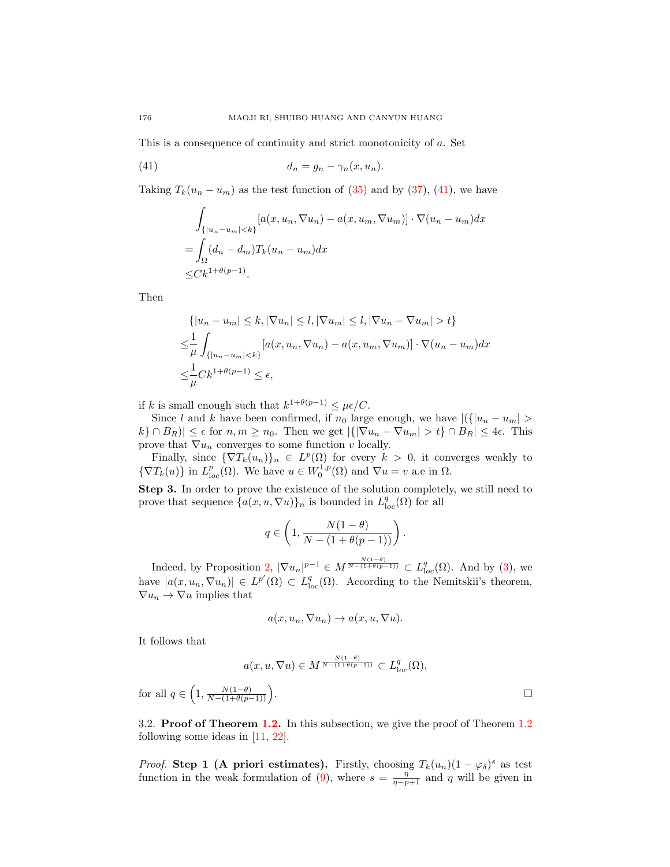This is a consequence of continuity and strict monotonicity of a. Set

<span id="page-11-0"></span>
$$
(41) \t\t d_n = g_n - \gamma_n(x, u_n).
$$

Taking  $T_k(u_n - u_m)$  as the test function of [\(35\)](#page-9-1) and by [\(37\)](#page-10-0), [\(41\)](#page-11-0), we have

$$
\int_{\{|u_n-u_m|< k\}} [a(x, u_n, \nabla u_n) - a(x, u_m, \nabla u_m)] \cdot \nabla (u_n - u_m) dx
$$
\n
$$
= \int_{\Omega} (d_n - d_m) T_k (u_n - u_m) dx
$$
\n
$$
\leq C k^{1+\theta(p-1)}.
$$

Then

$$
\{ |u_n - u_m| \le k, |\nabla u_n| \le l, |\nabla u_m| \le l, |\nabla u_n - \nabla u_m| > t \}
$$
  

$$
\le \frac{1}{\mu} \int_{\{|u_n - u_m| < k\}} [a(x, u_n, \nabla u_n) - a(x, u_m, \nabla u_m)] \cdot \nabla (u_n - u_m) dx
$$
  

$$
\le \frac{1}{\mu} C k^{1 + \theta(p-1)} \le \epsilon,
$$

if k is small enough such that  $k^{1+\theta(p-1)} \leq \mu \epsilon / C$ .

Since l and k have been confirmed, if  $n_0$  large enough, we have  $|({|u_n - u_m| >$  $|k\rangle \cap B_R| \leq \epsilon$  for  $n, m \geq n_0$ . Then we get  $|\{|\nabla u_n - \nabla u_m| > t\} \cap B_R| \leq 4\epsilon$ . This prove that  $\nabla u_n$  converges to some function v locally.

Finally, since  ${\nabla T_k(u_n)}_n \in L^p(\Omega)$  for every  $k > 0$ , it converges weakly to  ${\nabla T_k(u)}$  in  $L^p_{loc}(\Omega)$ . We have  $u \in W_0^{1,p}(\Omega)$  and  $\nabla u = v$  a.e in  $\Omega$ .

Step 3. In order to prove the existence of the solution completely, we still need to prove that sequence  $\{a(x, u, \nabla u)\}_n$  is bounded in  $L^q_{loc}(\Omega)$  for all

$$
q \in \left(1, \frac{N(1-\theta)}{N - (1 + \theta(p-1))}\right).
$$

Indeed, by Proposition [2,](#page-6-3)  $|\nabla u_n|^{p-1} \in M^{\frac{N(1-\theta)}{N-(1+\theta(p-1))}} \subset L^q_{loc}(\Omega)$ . And by [\(3\)](#page-0-2), we have  $|a(x, u_n, \nabla u_n)| \in L^{p'}(\Omega) \subset L^{q}_{loc}(\Omega)$ . According to the Nemitskii's theorem,  $\nabla u_n \to \nabla u$  implies that

$$
a(x, u_n, \nabla u_n) \to a(x, u, \nabla u).
$$

It follows that

$$
a(x, u, \nabla u) \in M^{\frac{N(1-\theta)}{N-(1+\theta(p-1))}} \subset L^q_{loc}(\Omega),
$$
  

$$
\frac{N(1-\theta)}{1+\theta(n-1))}.
$$

for all  $q \in \left(1, \frac{N(1-\theta)}{N-(1+\theta(p-1))}\right)$ 

3.2. Proof of Theorem [1.2.](#page-2-1) In this subsection, we give the proof of Theorem [1.2](#page-2-1) following some ideas in [\[11,](#page-17-15) [22\]](#page-17-13).

*Proof.* Step 1 (A priori estimates). Firstly, choosing  $T_k(u_n)(1-\varphi_{\delta})^s$  as test function in the weak formulation of [\(9\)](#page-2-0), where  $s = \frac{\eta}{\eta - p + 1}$  and  $\eta$  will be given in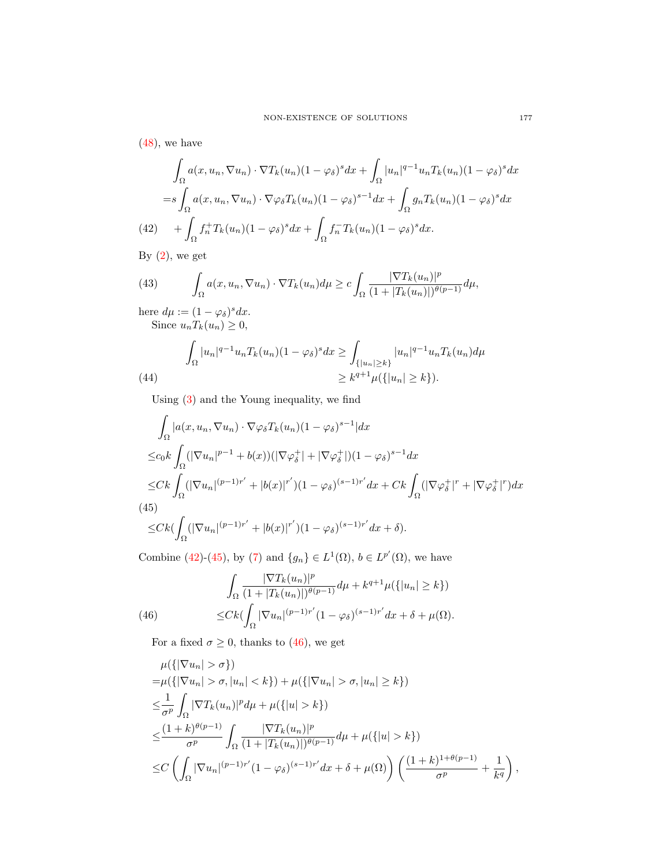$(48)$ , we have

$$
\int_{\Omega} a(x, u_n, \nabla u_n) \cdot \nabla T_k(u_n) (1 - \varphi_{\delta})^s dx + \int_{\Omega} |u_n|^{q-1} u_n T_k(u_n) (1 - \varphi_{\delta})^s dx
$$
  
=  $s \int_{\Omega} a(x, u_n, \nabla u_n) \cdot \nabla \varphi_{\delta} T_k(u_n) (1 - \varphi_{\delta})^{s-1} dx + \int_{\Omega} g_n T_k(u_n) (1 - \varphi_{\delta})^s dx$   
(42)  $+ \int_{\Omega} f_n^+ T_k(u_n) (1 - \varphi_{\delta})^s dx + \int_{\Omega} f_n^- T_k(u_n) (1 - \varphi_{\delta})^s dx.$ 

<span id="page-12-0"></span>By  $(2)$ , we get

(43) 
$$
\int_{\Omega} a(x, u_n, \nabla u_n) \cdot \nabla T_k(u_n) d\mu \geq c \int_{\Omega} \frac{|\nabla T_k(u_n)|^p}{(1 + |T_k(u_n)|)^{\theta(p-1)}} d\mu,
$$

here  $d\mu := (1 - \varphi_{\delta})^s dx$ . Since  $u_nT_k(u_n) \geq 0$ ,

(44) 
$$
\int_{\Omega} |u_n|^{q-1} u_n T_k(u_n) (1 - \varphi_{\delta})^s dx \ge \int_{\{|u_n| \ge k\}} |u_n|^{q-1} u_n T_k(u_n) d\mu
$$

$$
\ge k^{q+1} \mu(\{|u_n| \ge k\}).
$$

Using [\(3\)](#page-0-2) and the Young inequality, we find

$$
\int_{\Omega} |a(x, u_n, \nabla u_n) \cdot \nabla \varphi_{\delta} T_k(u_n) (1 - \varphi_{\delta})^{s-1} | dx
$$
\n
$$
\leq c_0 k \int_{\Omega} (|\nabla u_n|^{p-1} + b(x)) (|\nabla \varphi_{\delta}^+| + |\nabla \varphi_{\delta}^+|) (1 - \varphi_{\delta})^{s-1} dx
$$
\n
$$
\leq C k \int_{\Omega} (|\nabla u_n|^{(p-1)r'} + |b(x)|^{r'}) (1 - \varphi_{\delta})^{(s-1)r'} dx + C k \int_{\Omega} (|\nabla \varphi_{\delta}^+|^{r} + |\nabla \varphi_{\delta}^+|^{r}) dx
$$
\n(45)\n
$$
\leq C k (\int_{\Omega} (|\nabla u_n|^{(p-1)r'} + |b(x)|^{r'}) (1 - \varphi_{\delta})^{(s-1)r'} dx + \delta).
$$

<span id="page-12-1"></span>Combine [\(42\)](#page-12-0)-[\(45\)](#page-12-1), by [\(7\)](#page-2-5) and  $\{g_n\} \in L^1(\Omega)$ ,  $b \in L^{p'}(\Omega)$ , we have

<span id="page-12-2"></span>(46) 
$$
\int_{\Omega} \frac{|\nabla T_k(u_n)|^p}{(1+|T_k(u_n)|)^{\theta(p-1)}} d\mu + k^{q+1} \mu({\{|u_n| \ge k\}})
$$

$$
\le C k (\int_{\Omega} |\nabla u_n|^{(p-1)r'} (1-\varphi_{\delta})^{(s-1)r'} dx + \delta + \mu(\Omega).
$$

For a fixed  $\sigma \geq 0$ , thanks to [\(46\)](#page-12-2), we get

$$
\mu({\vert \nabla u_n \vert > \sigma})
$$
\n=  $\mu({\vert \nabla u_n \vert > \sigma}, |u_n| < k}) + \mu({\vert \nabla u_n \vert > \sigma}, |u_n| \ge k})$   
\n $\leq \frac{1}{\sigma^p} \int_{\Omega} |\nabla T_k(u_n)|^p d\mu + \mu({\vert u \vert > k})$   
\n $\leq \frac{(1+k)^{\theta(p-1)}}{\sigma^p} \int_{\Omega} \frac{|\nabla T_k(u_n)|^p}{(1+|T_k(u_n)|)^{\theta(p-1)}} d\mu + \mu({\vert u \vert > k})$   
\n $\leq C \left( \int_{\Omega} |\nabla u_n|^{(p-1)r'} (1-\varphi_{\delta})^{(s-1)r'} dx + \delta + \mu(\Omega) \right) \left( \frac{(1+k)^{1+\theta(p-1)}}{\sigma^p} + \frac{1}{k^q} \right),$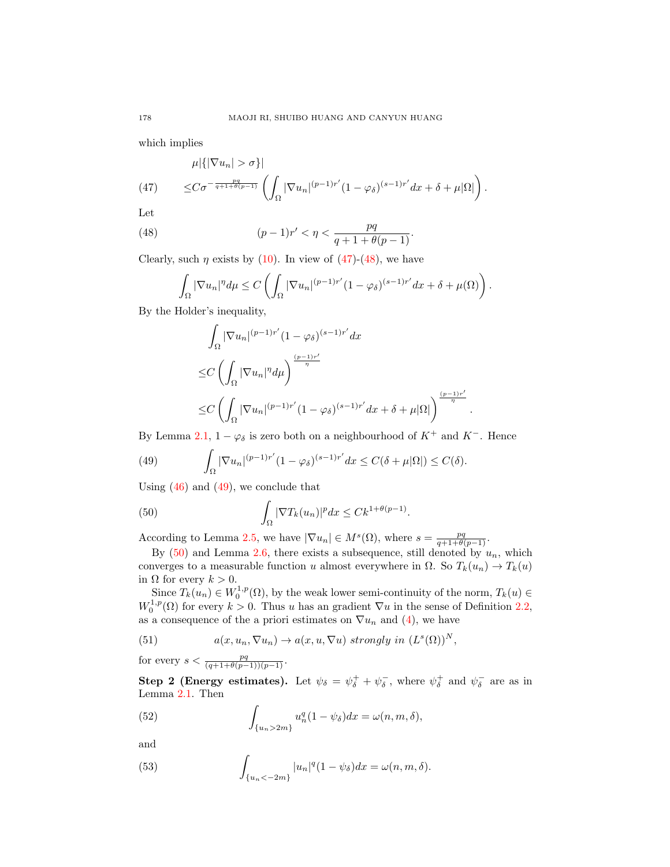which implies

<span id="page-13-1"></span>
$$
\mu|\{|\nabla u_n| > \sigma\}|\n\leq C\sigma^{-\frac{pq}{q+1+\theta(p-1)}} \left(\int_{\Omega} |\nabla u_n|^{(p-1)r'} (1-\varphi_{\delta})^{(s-1)r'} dx + \delta + \mu|\Omega|\right).
$$

Let

<span id="page-13-0"></span>(48) 
$$
(p-1)r' < \eta < \frac{pq}{q+1+\theta(p-1)}.
$$

Clearly, such  $\eta$  exists by [\(10\)](#page-2-6). In view of [\(47\)](#page-13-1)-[\(48\)](#page-13-0), we have

$$
\int_{\Omega} |\nabla u_n|^{\eta} d\mu \le C \left( \int_{\Omega} |\nabla u_n|^{(p-1)r'} (1 - \varphi_{\delta})^{(s-1)r'} dx + \delta + \mu(\Omega) \right).
$$

By the Holder's inequality,

$$
\int_{\Omega} |\nabla u_n|^{(p-1)r'} (1-\varphi_{\delta})^{(s-1)r'} dx
$$
\n
$$
\leq C \left( \int_{\Omega} |\nabla u_n|^{\eta} d\mu \right)^{\frac{(p-1)r'}{\eta}}
$$
\n
$$
\leq C \left( \int_{\Omega} |\nabla u_n|^{(p-1)r'} (1-\varphi_{\delta})^{(s-1)r'} dx + \delta + \mu |\Omega| \right)^{\frac{(p-1)r'}{\eta}}
$$

.

By Lemma [2.1,](#page-3-1)  $1 - \varphi_{\delta}$  is zero both on a neighbourhood of  $K^+$  and  $K^-$ . Hence

<span id="page-13-2"></span>(49) 
$$
\int_{\Omega} |\nabla u_n|^{(p-1)r'} (1-\varphi_{\delta})^{(s-1)r'} dx \leq C(\delta + \mu |\Omega|) \leq C(\delta).
$$

Using  $(46)$  and  $(49)$ , we conclude that

<span id="page-13-3"></span>(50) 
$$
\int_{\Omega} |\nabla T_k(u_n)|^p dx \leq C k^{1+\theta(p-1)}.
$$

According to Lemma [2.5,](#page-4-3) we have  $|\nabla u_n| \in M^s(\Omega)$ , where  $s = \frac{pq}{q+1+\theta(p-1)}$ .

By  $(50)$  and Lemma [2.6,](#page-4-4) there exists a subsequence, still denoted by  $u_n$ , which converges to a measurable function u almost everywhere in  $\Omega$ . So  $T_k(u_n) \to T_k(u)$ in  $\Omega$  for every  $k > 0$ .

Since  $T_k(u_n) \in W_0^{1,p}(\Omega)$ , by the weak lower semi-continuity of the norm,  $T_k(u) \in$  $W_0^{1,p}(\Omega)$  for every  $k > 0$ . Thus u has an gradient  $\nabla u$  in the sense of Definition [2.2,](#page-3-2) as a consequence of the a priori estimates on  $\nabla u_n$  and [\(4\)](#page-1-1), we have

<span id="page-13-6"></span>(51) 
$$
a(x, u_n, \nabla u_n) \to a(x, u, \nabla u) \text{ strongly in } (L^s(\Omega))^N,
$$

for every  $s < \frac{pq}{(q+1+\theta(p-1))(p-1)}$ .

Step 2 (Energy estimates). Let  $\psi_{\delta} = \psi_{\delta}^{+} + \psi_{\delta}^{-}$ , where  $\psi_{\delta}^{+}$  and  $\psi_{\delta}^{-}$  are as in Lemma [2.1.](#page-3-1) Then

<span id="page-13-4"></span>(52) 
$$
\int_{\{u_n>2m\}} u_n^q (1-\psi_\delta) dx = \omega(n,m,\delta),
$$

and

<span id="page-13-5"></span>(53) 
$$
\int_{\{u_n<-2m\}} |u_n|^q (1-\psi_\delta) dx = \omega(n,m,\delta).
$$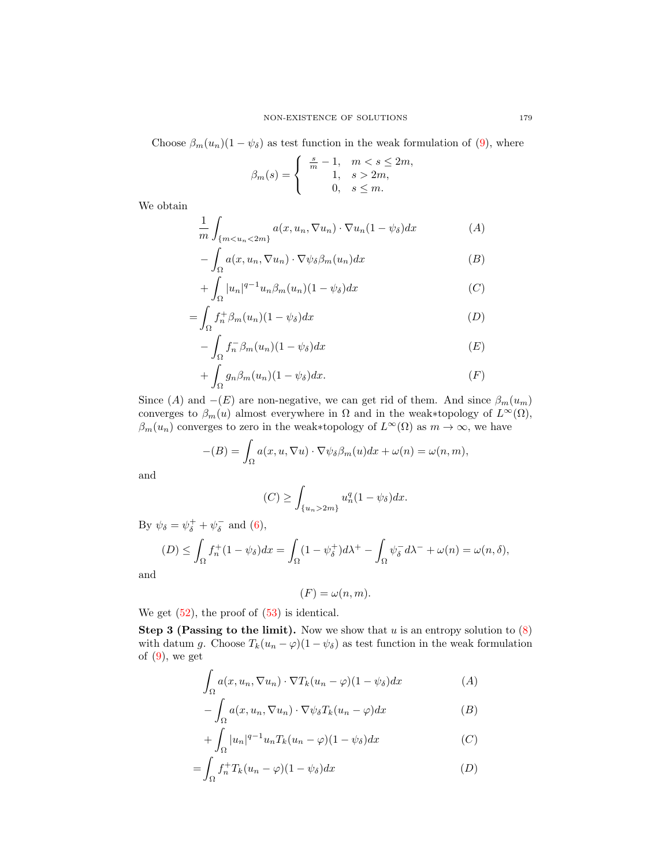Choose  $\beta_m(u_n)(1 - \psi_\delta)$  as test function in the weak formulation of [\(9\)](#page-2-0), where

$$
\beta_m(s) = \begin{cases} \frac{s}{m} - 1, & m < s \le 2m, \\ 1, & s > 2m, \\ 0, & s \le m. \end{cases}
$$

We obtain

$$
\frac{1}{m} \int_{\{m < u_n < 2m\}} a(x, u_n, \nabla u_n) \cdot \nabla u_n (1 - \psi_\delta) dx \tag{A}
$$

$$
- \int_{\Omega} a(x, u_n, \nabla u_n) \cdot \nabla \psi_{\delta} \beta_m(u_n) dx \tag{B}
$$

$$
+\int_{\Omega} |u_n|^{q-1} u_n \beta_m(u_n)(1-\psi_\delta) dx \tag{C}
$$

$$
=\int_{\Omega} f_n^+ \beta_m(u_n)(1-\psi_\delta)dx
$$
\n(D)

$$
-\int_{\Omega} f_n^- \beta_m(u_n)(1-\psi_\delta)dx\tag{E}
$$

$$
+\int_{\Omega} g_n \beta_m(u_n)(1-\psi_{\delta})dx.\tag{F}
$$

Since (A) and  $-(E)$  are non-negative, we can get rid of them. And since  $\beta_m(u_m)$ converges to  $\beta_m(u)$  almost everywhere in  $\Omega$  and in the weak∗topology of  $L^{\infty}(\Omega)$ ,  $\beta_m(u_n)$  converges to zero in the weak∗topology of  $L^{\infty}(\Omega)$  as  $m \to \infty$ , we have

$$
-(B) = \int_{\Omega} a(x, u, \nabla u) \cdot \nabla \psi_{\delta} \beta_m(u) dx + \omega(n) = \omega(n, m),
$$

and

$$
(C) \ge \int_{\{u_n>2m\}} u_n^q (1-\psi_\delta) dx.
$$

By  $\psi_{\delta} = \psi_{\delta}^{+} + \psi_{\delta}^{-}$  and [\(6\)](#page-2-2),

 $\ddot{\phantom{0}}$ 

$$
(D) \leq \int_{\Omega} f_n^+(1 - \psi_{\delta}) dx = \int_{\Omega} (1 - \psi_{\delta}^+) d\lambda^+ - \int_{\Omega} \psi_{\delta}^- d\lambda^- + \omega(n) = \omega(n, \delta),
$$

and

$$
(F) = \omega(n, m).
$$

We get  $(52)$ , the proof of  $(53)$  is identical.

**Step 3 (Passing to the limit).** Now we show that u is an entropy solution to  $(8)$ with datum g. Choose  $T_k(u_n - \varphi)(1 - \psi_\delta)$  as test function in the weak formulation of  $(9)$ , we get

$$
\int_{\Omega} a(x, u_n, \nabla u_n) \cdot \nabla T_k(u_n - \varphi)(1 - \psi_\delta) dx \tag{A}
$$

$$
- \int_{\Omega} a(x, u_n, \nabla u_n) \cdot \nabla \psi_{\delta} T_k(u_n - \varphi) dx \tag{B}
$$

$$
+\int_{\Omega} |u_n|^{q-1} u_n T_k (u_n - \varphi)(1 - \psi_\delta) dx \tag{C}
$$

$$
=\int_{\Omega} f_n^+ T_k (u_n - \varphi)(1 - \psi_{\delta}) dx \tag{D}
$$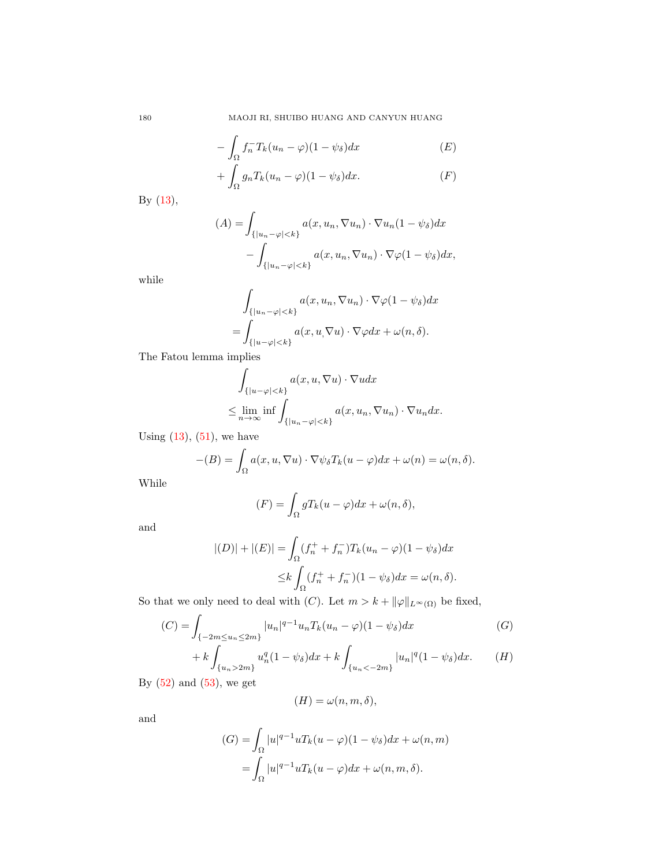180 MAOJI RI, SHUIBO HUANG AND CANYUN HUANG

$$
-\int_{\Omega} f_n^{-} T_k (u_n - \varphi)(1 - \psi_{\delta}) dx \tag{E}
$$

$$
+\int_{\Omega}g_nT_k(u_n-\varphi)(1-\psi_\delta)dx.\tag{F}
$$

By [\(13\)](#page-3-3),

$$
(A) = \int_{\{|u_n - \varphi| < k\}} a(x, u_n, \nabla u_n) \cdot \nabla u_n (1 - \psi_\delta) dx - \int_{\{|u_n - \varphi| < k\}} a(x, u_n, \nabla u_n) \cdot \nabla \varphi (1 - \psi_\delta) dx,
$$

while

$$
\int_{\{|u_n-\varphi|
$$
= \int_{\{|u-\varphi|
$$
$$

The Fatou lemma implies

$$
\int_{\{|u-\varphi|<\,k\}} a(x,u,\nabla u) \cdot \nabla u dx
$$
\n
$$
\leq \lim_{n\to\infty} \inf \int_{\{|u_n-\varphi|< k\}} a(x,u_n,\nabla u_n) \cdot \nabla u_n dx.
$$

Using  $(13)$ ,  $(51)$ , we have

$$
-(B) = \int_{\Omega} a(x, u, \nabla u) \cdot \nabla \psi_{\delta} T_k(u - \varphi) dx + \omega(n) = \omega(n, \delta).
$$

While

$$
(F) = \int_{\Omega} gT_k(u - \varphi)dx + \omega(n, \delta),
$$

and

$$
|(D)| + |(E)| = \int_{\Omega} (f_n^+ + f_n^-) T_k (u_n - \varphi)(1 - \psi_{\delta}) dx
$$
  

$$
\leq k \int_{\Omega} (f_n^+ + f_n^-)(1 - \psi_{\delta}) dx = \omega(n, \delta).
$$

So that we only need to deal with (C). Let  $m > k + ||\varphi||_{L^{\infty}(\Omega)}$  be fixed,

$$
(C) = \int_{\{-2m \le u_n \le 2m\}} |u_n|^{q-1} u_n T_k (u_n - \varphi)(1 - \psi_\delta) dx \tag{G}
$$

$$
+ k \int_{\{u_n > 2m\}} u_n^q (1 - \psi_\delta) dx + k \int_{\{u_n < -2m\}} |u_n|^q (1 - \psi_\delta) dx. \tag{H}
$$

By  $(52)$  and  $(53)$ , we get

$$
(H) = \omega(n, m, \delta),
$$

and

$$
(G) = \int_{\Omega} |u|^{q-1} u T_k (u - \varphi)(1 - \psi_{\delta}) dx + \omega(n, m)
$$
  
= 
$$
\int_{\Omega} |u|^{q-1} u T_k (u - \varphi) dx + \omega(n, m, \delta).
$$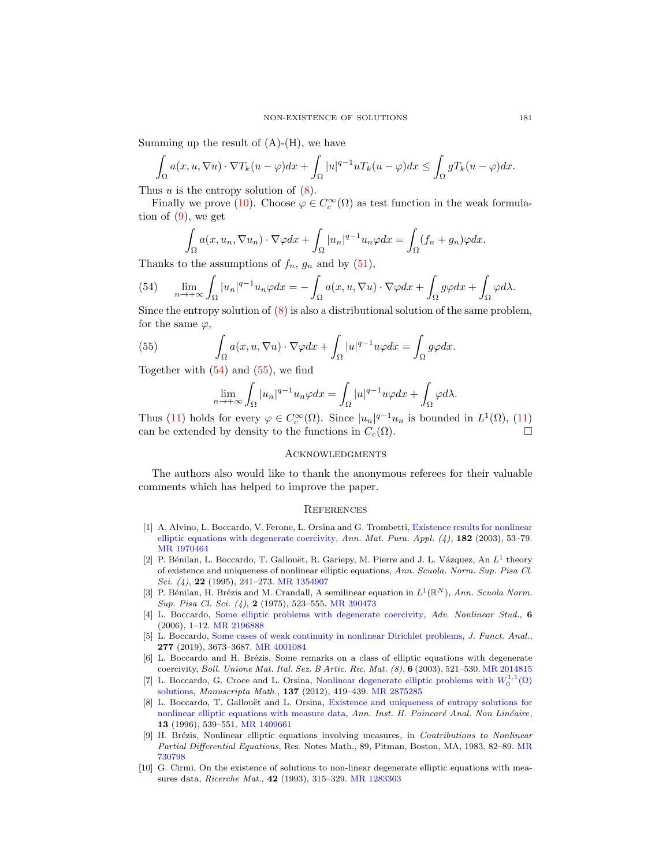Summing up the result of  $(A)$ - $(H)$ , we have

$$
\int_{\Omega} a(x, u, \nabla u) \cdot \nabla T_k(u - \varphi) dx + \int_{\Omega} |u|^{q-1} u T_k(u - \varphi) dx \le \int_{\Omega} g T_k(u - \varphi) dx.
$$

Thus u is the entropy solution of  $(8)$ .

Finally we prove [\(10\)](#page-2-6). Choose  $\varphi \in C_c^{\infty}(\Omega)$  as test function in the weak formulation of  $(9)$ , we get

$$
\int_{\Omega} a(x, u_n, \nabla u_n) \cdot \nabla \varphi dx + \int_{\Omega} |u_n|^{q-1} u_n \varphi dx = \int_{\Omega} (f_n + g_n) \varphi dx.
$$

Thanks to the assumptions of  $f_n$ ,  $g_n$  and by  $(51)$ ,

<span id="page-16-10"></span>(54) 
$$
\lim_{n \to +\infty} \int_{\Omega} |u_n|^{q-1} u_n \varphi dx = -\int_{\Omega} a(x, u, \nabla u) \cdot \nabla \varphi dx + \int_{\Omega} g \varphi dx + \int_{\Omega} \varphi d\lambda.
$$

Since the entropy solution of  $(8)$  is also a distributional solution of the same problem, for the same  $\varphi$ ,

<span id="page-16-11"></span>(55) 
$$
\int_{\Omega} a(x, u, \nabla u) \cdot \nabla \varphi dx + \int_{\Omega} |u|^{q-1} u \varphi dx = \int_{\Omega} g \varphi dx.
$$

Together with  $(54)$  and  $(55)$ , we find

$$
\lim_{n \to +\infty} \int_{\Omega} |u_n|^{q-1} u_n \varphi dx = \int_{\Omega} |u|^{q-1} u \varphi dx + \int_{\Omega} \varphi d\lambda.
$$

Thus [\(11\)](#page-3-4) holds for every  $\varphi \in C_c^{\infty}(\Omega)$ . Since  $|u_n|^{q-1}u_n$  is bounded in  $L^1(\Omega)$ , (11) can be extended by density to the functions in  $C_c(\Omega)$ .

## **ACKNOWLEDGMENTS**

The authors also would like to thank the anonymous referees for their valuable comments which has helped to improve the paper.

#### **REFERENCES**

- <span id="page-16-8"></span>[1] A. Alvino, L. Boccardo, V. Ferone, L. Orsina and G. Trombetti, [Existence results for nonlinear](http://dx.doi.org/10.1007/s10231-002-0056-y) [elliptic equations with degenerate coercivity,](http://dx.doi.org/10.1007/s10231-002-0056-y) Ann. Mat. Pura. Appl.  $(4)$ , 182 (2003), 53–79. [MR 1970464](http://www.ams.org/mathscinet-getitem?mr=1970464&return=pdf)
- <span id="page-16-6"></span>[2] P. Bénilan, L. Boccardo, T. Gallouët, R. Gariepy, M. Pierre and J. L. Vázquez, An  $L^1$  theory of existence and uniqueness of nonlinear elliptic equations, Ann. Scuola. Norm. Sup. Pisa Cl. Sci.  $(4)$ , **22** (1995), 241–273. [MR 1354907](http://www.ams.org/mathscinet-getitem?mr=1354907&return=pdf)
- <span id="page-16-0"></span>[3] P. Bénilan, H. Brézis and M. Crandall, A semilinear equation in  $L^1(\mathbb{R}^N)$ , Ann. Scuola Norm. Sup. Pisa Cl. Sci. (4), 2 (1975), 523–555. [MR 390473](http://www.ams.org/mathscinet-getitem?mr=390473&return=pdf)
- <span id="page-16-9"></span>[4] L. Boccardo, [Some elliptic problems with degenerate coercivity,](http://dx.doi.org/10.1515/ans-2006-0101) Adv. Nonlinear Stud., 6 (2006), 1–12. [MR 2196888](http://www.ams.org/mathscinet-getitem?mr=2196888&return=pdf)
- <span id="page-16-5"></span>[5] L. Boccardo, [Some cases of weak continuity in nonlinear Dirichlet problems,](http://dx.doi.org/10.1016/j.jfa.2019.05.020) J. Funct. Anal., 277 (2019), 3673–3687. [MR 4001084](http://www.ams.org/mathscinet-getitem?mr=4001084&return=pdf)
- <span id="page-16-2"></span>[6] L. Boccardo and H. Brézis, Some remarks on a class of elliptic equations with degenerate coercivity, Boll. Unione Mat. Ital. Sez. B Artic. Ric. Mat. (8), 6 (2003), 521–530. [MR 2014815](http://www.ams.org/mathscinet-getitem?mr=2014815&return=pdf)
- <span id="page-16-7"></span>[7] L. Boccardo, G. Croce and L. Orsina, [Nonlinear degenerate elliptic problems with](http://dx.doi.org/10.1007/s00229-011-0473-6)  $W_0^{1,1}(\Omega)$ [solutions,](http://dx.doi.org/10.1007/s00229-011-0473-6) Manuscripta Math., 137 (2012), 419–439. [MR 2875285](http://www.ams.org/mathscinet-getitem?mr=2875285&return=pdf)
- <span id="page-16-4"></span>[8] L. Boccardo, T. Gallouët and L. Orsina, [Existence and uniqueness of entropy solutions for](http://dx.doi.org/10.1016/S0294-1449(16)30113-5) [nonlinear elliptic equations with measure data,](http://dx.doi.org/10.1016/S0294-1449(16)30113-5) Ann. Inst. H. Poincaré Anal. Non Linéaire, 13 (1996), 539–551. [MR 1409661](http://www.ams.org/mathscinet-getitem?mr=1409661&return=pdf)
- <span id="page-16-1"></span>[9] H. Brézis, Nonlinear elliptic equations involving measures, in Contributions to Nonlinear Partial Differential Equations, Res. Notes Math., 89, Pitman, Boston, MA, 1983, 82–89. [MR](http://www.ams.org/mathscinet-getitem?mr=730798&return=pdf) [730798](http://www.ams.org/mathscinet-getitem?mr=730798&return=pdf)
- <span id="page-16-3"></span>[10] G. Cirmi, On the existence of solutions to non-linear degenerate elliptic equations with measures data, Ricerche Mat., 42 (1993), 315–329. [MR 1283363](http://www.ams.org/mathscinet-getitem?mr=1283363&return=pdf)